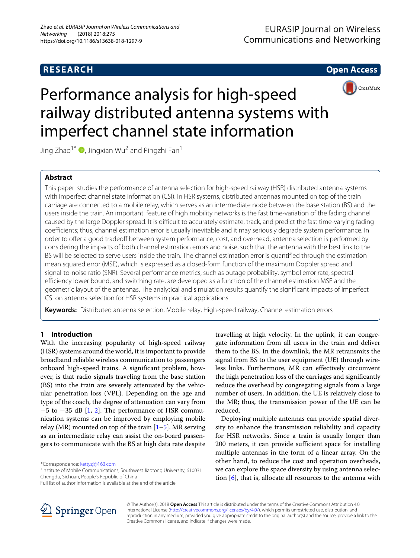# **RESEARCH Open Access**

CrossMark



Jing Zhao<sup>1\*</sup>  $\bullet$ [,](http://orcid.org/0000-0003-2942-9946) Jingxian Wu<sup>2</sup> and Pingzhi Fan<sup>1</sup>

# **Abstract**

This paper studies the performance of antenna selection for high-speed railway (HSR) distributed antenna systems with imperfect channel state information (CSI). In HSR systems, distributed antennas mounted on top of the train carriage are connected to a mobile relay, which serves as an intermediate node between the base station (BS) and the users inside the train. An important feature of high mobility networks is the fast time-variation of the fading channel caused by the large Doppler spread. It is difficult to accurately estimate, track, and predict the fast time-varying fading coefficients; thus, channel estimation error is usually inevitable and it may seriously degrade system performance. In order to offer a good tradeoff between system performance, cost, and overhead, antenna selection is performed by considering the impacts of both channel estimation errors and noise, such that the antenna with the best link to the BS will be selected to serve users inside the train. The channel estimation error is quantified through the estimation mean squared error (MSE), which is expressed as a closed-form function of the maximum Doppler spread and signal-to-noise ratio (SNR). Several performance metrics, such as outage probability, symbol error rate, spectral efficiency lower bound, and switching rate, are developed as a function of the channel estimation MSE and the geometric layout of the antennas. The analytical and simulation results quantify the significant impacts of imperfect CSI on antenna selection for HSR systems in practical applications.

**Keywords:** Distributed antenna selection, Mobile relay, High-speed railway, Channel estimation errors

# **1 Introduction**

With the increasing popularity of high-speed railway (HSR) systems around the world, it is important to provide broadband reliable wireless communication to passengers onboard high-speed trains. A significant problem, however, is that radio signals traveling from the base station (BS) into the train are severely attenuated by the vehicular penetration loss (VPL). Depending on the age and type of the coach, the degree of attenuation can vary from  $-5$  to  $-35$  dB [\[1,](#page-10-0) [2\]](#page-10-1). The performance of HSR communication systems can be improved by employing mobile relay (MR) mounted on top of the train  $[1–5]$  $[1–5]$ . MR serving as an intermediate relay can assist the on-board passengers to communicate with the BS at high data rate despite

\*Correspondence: [kettyzj@163.com](mailto: kettyzj@163.com)

<sup>1</sup> Institute of Mobile Communications, Southwest Jiaotong University, 610031 Chengdu, Sichuan, People's Republic of China

travelling at high velocity. In the uplink, it can congregate information from all users in the train and deliver them to the BS. In the downlink, the MR retransmits the signal from BS to the user equipment (UE) through wireless links. Furthermore, MR can effectively circumvent the high penetration loss of the carriages and significantly reduce the overhead by congregating signals from a large number of users. In addition, the UE is relatively close to the MR; thus, the transmission power of the UE can be reduced.

Deploying multiple antennas can provide spatial diversity to enhance the transmission reliability and capacity for HSR networks. Since a train is usually longer than 200 meters, it can provide sufficient space for installing multiple antennas in the form of a linear array. On the other hand, to reduce the cost and operation overheads, we can explore the space diversity by using antenna selection  $[6]$ , that is, allocate all resources to the antenna with



© The Author(s). 2018 **Open Access** This article is distributed under the terms of the Creative Commons Attribution 4.0 International License [\(http://creativecommons.org/licenses/by/4.0/\)](http://creativecommons.org/licenses/by/4.0/), which permits unrestricted use, distribution, and reproduction in any medium, provided you give appropriate credit to the original author(s) and the source, provide a link to the Creative Commons license, and indicate if changes were made.

Full list of author information is available at the end of the article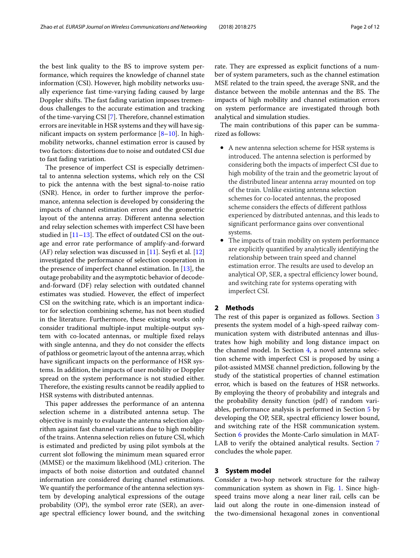the best link quality to the BS to improve system performance, which requires the knowledge of channel state information (CSI). However, high mobility networks usually experience fast time-varying fading caused by large Doppler shifts. The fast fading variation imposes tremendous challenges to the accurate estimation and tracking of the time-varying CSI [\[7\]](#page-10-4). Therefore, channel estimation errors are inevitable in HSR systems and they will have significant impacts on system performance  $[8-10]$  $[8-10]$ . In highmobility networks, channel estimation error is caused by two factors: distortions due to noise and outdated CSI due to fast fading variation.

The presence of imperfect CSI is especially detrimental to antenna selection systems, which rely on the CSI to pick the antenna with the best signal-to-noise ratio (SNR). Hence, in order to further improve the performance, antenna selection is developed by considering the impacts of channel estimation errors and the geometric layout of the antenna array. Different antenna selection and relay selection schemes with imperfect CSI have been studied in  $[11–13]$  $[11–13]$ . The effect of outdated CSI on the outage and error rate performance of amplify-and-forward  $(AF)$  relay selection was discussed in [\[11\]](#page-10-7). Seyfi et al. [\[12\]](#page-11-1) investigated the performance of selection cooperation in the presence of imperfect channel estimation. In [\[13\]](#page-11-0), the outage probability and the asymptotic behavior of decodeand-forward (DF) relay selection with outdated channel estimates was studied. However, the effect of imperfect CSI on the switching rate, which is an important indicator for selection combining scheme, has not been studied in the literature. Furthermore, these existing works only consider traditional multiple-input multiple-output system with co-located antennas, or multiple fixed relays with single antenna, and they do not consider the effects of pathloss or geometric layout of the antenna array, which have significant impacts on the performance of HSR systems. In addition, the impacts of user mobility or Doppler spread on the system performance is not studied either. Therefore, the existing results cannot be readily applied to HSR systems with distributed antennas.

This paper addresses the performance of an antenna selection scheme in a distributed antenna setup. The objective is mainly to evaluate the antenna selection algorithm against fast channel variations due to high mobility of the trains. Antenna selection relies on future CSI, which is estimated and predicted by using pilot symbols at the current slot following the minimum mean squared error (MMSE) or the maximum likelihood (ML) criterion. The impacts of both noise distortion and outdated channel information are considered during channel estimations. We quantify the performance of the antenna selection system by developing analytical expressions of the outage probability (OP), the symbol error rate (SER), an average spectral efficiency lower bound, and the switching rate. They are expressed as explicit functions of a number of system parameters, such as the channel estimation MSE related to the train speed, the average SNR, and the distance between the mobile antennas and the BS. The impacts of high mobility and channel estimation errors on system performance are investigated through both analytical and simulation studies.

The main contributions of this paper can be summarized as follows:

- A new antenna selection scheme for HSR systems is introduced. The antenna selection is performed by considering both the impacts of imperfect CSI due to high mobility of the train and the geometric layout of the distributed linear antenna array mounted on top of the train. Unlike existing antenna selection schemes for co-located antennas, the proposed scheme considers the effects of different pathloss experienced by distributed antennas, and this leads to significant performance gains over conventional systems.
- The impacts of train mobility on system performance are explicitly quantified by analytically identifying the relationship between train speed and channel estimation error. The results are used to develop an analytical OP, SER, a spectral efficiency lower bound, and switching rate for systems operating with imperfect CSI.

### **2 Methods**

The rest of this paper is organized as follows. Section [3](#page-1-0) presents the system model of a high-speed railway communication system with distributed antennas and illustrates how high mobility and long distance impact on the channel model. In Section [4,](#page-3-0) a novel antenna selection scheme with imperfect CSI is proposed by using a pilot-assisted MMSE channel prediction, following by the study of the statistical properties of channel estimation error, which is based on the features of HSR networks. By employing the theory of probability and integrals and the probability density function (pdf) of random variables, performance analysis is performed in Section [5](#page-5-0) by developing the OP, SER, spectral efficiency lower bound, and switching rate of the HSR communication system. Section [6](#page-7-0) provides the Monte-Carlo simulation in MAT-LAB to verify the obtained analytical results. Section [7](#page-8-0) concludes the whole paper.

#### <span id="page-1-0"></span>**3 System model**

Consider a two-hop network structure for the railway communication system as shown in Fig. [1.](#page-2-0) Since highspeed trains move along a near liner rail, cells can be laid out along the route in one-dimension instead of the two-dimensional hexagonal zones in conventional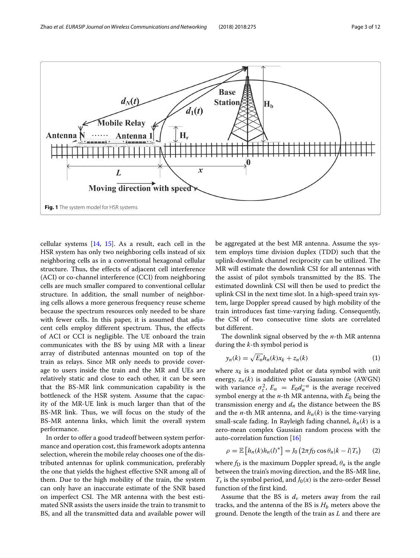

<span id="page-2-0"></span>cellular systems  $[14, 15]$  $[14, 15]$  $[14, 15]$ . As a result, each cell in the HSR system has only two neighboring cells instead of six neighboring cells as in a conventional hexagonal cellular structure. Thus, the effects of adjacent cell interference (ACI) or co-channel interference (CCI) from neighboring cells are much smaller compared to conventional cellular structure. In addition, the small number of neighboring cells allows a more generous frequency reuse scheme because the spectrum resources only needed to be share with fewer cells. In this paper, it is assumed that adjacent cells employ different spectrum. Thus, the effects of ACI or CCI is negligible. The UE onboard the train communicates with the BS by using MR with a linear array of distributed antennas mounted on top of the train as relays. Since MR only needs to provide coverage to users inside the train and the MR and UEs are relatively static and close to each other, it can be seen that the BS-MR link communication capability is the bottleneck of the HSR system. Assume that the capacity of the MR-UE link is much larger than that of the BS-MR link. Thus, we will focus on the study of the BS-MR antenna links, which limit the overall system performance.

In order to offer a good tradeoff between system performance and operation cost, this framework adopts antenna selection, wherein the mobile relay chooses one of the distributed antennas for uplink communication, preferably the one that yields the highest effective SNR among all of them. Due to the high mobility of the train, the system can only have an inaccurate estimate of the SNR based on imperfect CSI. The MR antenna with the best estimated SNR assists the users inside the train to transmit to BS, and all the transmitted data and available power will

be aggregated at the best MR antenna. Assume the system employs time division duplex (TDD) such that the uplink-downlink channel reciprocity can be utilized. The MR will estimate the downlink CSI for all antennas with the assist of pilot symbols transmitted by the BS. The estimated downlink CSI will then be used to predict the uplink CSI in the next time slot. In a high-speed train system, large Doppler spread caused by high mobility of the train introduces fast time-varying fading. Consequently, the CSI of two consecutive time slots are correlated but different.

The downlink signal observed by the *n*-th MR antenna during the *k*-th symbol period is

$$
y_n(k) = \sqrt{E_n} h_n(k) x_k + z_n(k)
$$
 (1)

where  $x_k$  is a modulated pilot or data symbol with unit energy,  $z_n(k)$  is additive white Gaussian noise (AWGN) with variance  $\sigma_z^2$ ,  $E_n = E_0 d_n^{-\alpha}$  is the average received symbol energy at the  $n$ -th MR antenna, with  $E_0$  being the transmission energy and  $d_n$  the distance between the BS and the *n*-th MR antenna, and  $h_n(k)$  is the time-varying small-scale fading. In Rayleigh fading channel, *hn*(*k*) is a zero-mean complex Gaussian random process with the auto-correlation function [\[16\]](#page-11-4)

$$
\rho = \mathbb{E}\left[h_n(k)h_n(l)^*\right] = J_0\left(2\pi f_\text{D}\cos\theta_n|k-l|T_s\right) \tag{2}
$$

where  $f_D$  is the maximum Doppler spread,  $\theta_n$  is the angle between the train's moving direction, and the BS-MR line,  $T_s$  is the symbol period, and  $J_0(x)$  is the zero-order Bessel function of the first kind.

Assume that the BS is  $d<sub>v</sub>$  meters away from the rail tracks, and the antenna of the BS is  $H<sub>b</sub>$  meters above the ground. Denote the length of the train as *L* and there are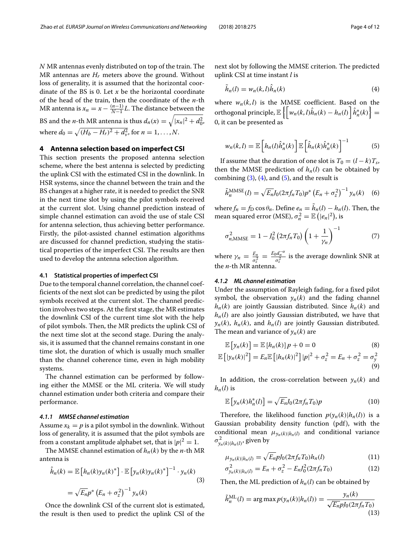*N* MR antennas evenly distributed on top of the train. The MR antennas are *Hr* meters above the ground. Without loss of generality, it is assumed that the horizontal coordinate of the BS is 0. Let *x* be the horizontal coordinate of the head of the train, then the coordinate of the *n*-th MR antenna is  $x_n = x - \frac{(n-1)}{N-1}L$ . The distance between the BS and the *n*-th MR antenna is thus  $d_n(x) = \sqrt{|x_n|^2 + d_0^2}$ , where  $d_0 = \sqrt{(H_b - H_r)^2 + d_v^2}$ , for  $n = 1, ..., N$ .

# <span id="page-3-0"></span>**4 Antenna selection based on imperfect CSI**

This section presents the proposed antenna selection scheme, where the best antenna is selected by predicting the uplink CSI with the estimated CSI in the downlink. In HSR systems, since the channel between the train and the BS changes at a higher rate, it is needed to predict the SNR in the next time slot by using the pilot symbols received at the current slot. Using channel prediction instead of simple channel estimation can avoid the use of stale CSI for antenna selection, thus achieving better performance. Firstly, the pilot-assisted channel estimation algorithms are discussed for channel prediction, studying the statistical properties of the imperfect CSI. The results are then used to develop the antenna selection algorithm.

#### **4.1 Statistical properties of imperfect CSI**

Due to the temporal channel correlation, the channel coefficients of the next slot can be predicted by using the pilot symbols received at the current slot. The channel prediction involves two steps. At the first stage, the MR estimates the downlink CSI of the current time slot with the help of pilot symbols. Then, the MR predicts the uplink CSI of the next time slot at the second stage. During the analysis, it is assumed that the channel remains constant in one time slot, the duration of which is usually much smaller than the channel coherence time, even in high mobility systems.

The channel estimation can be performed by following either the MMSE or the ML criteria. We will study channel estimation under both criteria and compare their performance.

#### *4.1.1 MMSE channel estimation*

Assume  $x_k = p$  is a pilot symbol in the downlink. Without loss of generality, it is assumed that the pilot symbols are from a constant amplitude alphabet set, that is  $|p|^2 = 1$ .

The MMSE channel estimation of  $h_n(k)$  by the *n*-th MR antenna is

$$
\hat{h}_n(k) = \mathbb{E}\left[h_n(k)y_n(k)^*\right] \cdot \mathbb{E}\left[y_n(k)y_n(k)^*\right]^{-1} \cdot y_n(k)
$$
\n
$$
= \sqrt{E_n}p^*\left(E_n + \sigma_z^2\right)^{-1}y_n(k)
$$
\n(3)

Once the downlink CSI of the current slot is estimated, the result is then used to predict the uplink CSI of the next slot by following the MMSE criterion. The predicted uplink CSI at time instant *l* is

<span id="page-3-2"></span>
$$
\hat{h}_n(l) = w_n(k, l)\hat{h}_n(k) \tag{4}
$$

where  $w_n(k, l)$  is the MMSE coefficient. Based on the orthogonal principle,  $\mathbb{E}\left\{\left[w_n(k,l)\hat{h}_n(k) - h_n(l)\right]\hat{h}_n^*(k)\right\} =$ 0, it can be presented as

<span id="page-3-3"></span>
$$
w_n(k,l) = \mathbb{E}\left[h_n(l)\hat{h}_n^*(k)\right]\mathbb{E}\left[\hat{h}_n(k)\hat{h}_n^*(k)\right]^{-1} \tag{5}
$$

If assume that the duration of one slot is  $T_0 = (l - k)T_s$ , then the MMSE prediction of  $h_n(l)$  can be obtained by combining  $(3)$ ,  $(4)$ , and  $(5)$ , and the result is

<span id="page-3-5"></span>
$$
\tilde{h}_n^{\text{MMSE}}(l) = \sqrt{E_n} J_0(2\pi f_n T_0) p^* \left( E_n + \sigma_z^2 \right)^{-1} y_n(k) \quad (6)
$$

where  $f_n = f_D \cos \theta_n$ . Define  $e_n = h_n(l) - h_n(l)$ . Then, the mean squared error (MSE),  $\sigma_n^2 = \mathbb{E} \left( |e_n|^2 \right)$ , is

<span id="page-3-4"></span>
$$
\sigma_{n,\text{MMSE}}^2 = 1 - J_0^2 \left( 2\pi f_n T_0 \right) \left( 1 + \frac{1}{\gamma_n} \right)^{-1} \tag{7}
$$

where  $\gamma_n = \frac{E_n}{\sigma_z^2} = \frac{E_0 d_n^{-\alpha}}{\sigma_z^2}$  is the average downlink SNR at the *n*-th MR antenna.

# *4.1.2 ML channel estimation*

Under the assumption of Rayleigh fading, for a fixed pilot symbol, the observation  $y_n(k)$  and the fading channel  $h_n(k)$  are jointly Gaussian distributed. Since  $h_n(k)$  and *hn*(*l*) are also jointly Gaussian distributed, we have that  $y_n(k)$ ,  $h_n(k)$ , and  $h_n(l)$  are jointly Gaussian distributed. The mean and variance of  $y_n(k)$  are

$$
\mathbb{E}\left[\mathbf{y}_n(k)\right] = \mathbb{E}\left[h_n(k)\right]p + 0 = 0\tag{8}
$$

$$
\mathbb{E}\left[\left|y_n(k)\right|^2\right] = E_n \mathbb{E}\left[\left|h_n(k)\right|^2\right] |p|^2 + \sigma_z^2 = E_n + \sigma_z^2 = \sigma_y^2 \tag{9}
$$

In addition, the cross-correlation between  $y_n(k)$  and  $h_n(l)$  is

$$
\mathbb{E}\left[\mathbf{y}_n(k)h_n^*(l)\right] = \sqrt{E_n}J_0(2\pi f_n T_0)p\tag{10}
$$

Therefore, the likelihood function  $p(y_n(k)|h_n(l))$  is a Gaussian probability density function (pdf), with the conditional mean  $\mu_{v_n(k)|h_n(l)}$  and conditional variance  $\sigma_{y_n(k)|h_n(l)}^2$ , given by

$$
\mu_{y_n(k)|h_n(l)} = \sqrt{E_n} p J_0(2\pi f_n T_0) h_n(l)
$$
\n(11)

$$
\sigma_{y_n(k)|h_n(l)}^2 = E_n + \sigma_z^2 - E_n J_0^2 (2\pi f_n T_0)
$$
\n(12)

<span id="page-3-1"></span>Then, the ML prediction of  $h_n(l)$  can be obtained by

$$
\tilde{h}_n^{\text{ML}}(l) = \arg \max p(y_n(k)|h_n(l)) = \frac{y_n(k)}{\sqrt{E_n} p J_0(2\pi f_n T_0)}
$$
\n(13)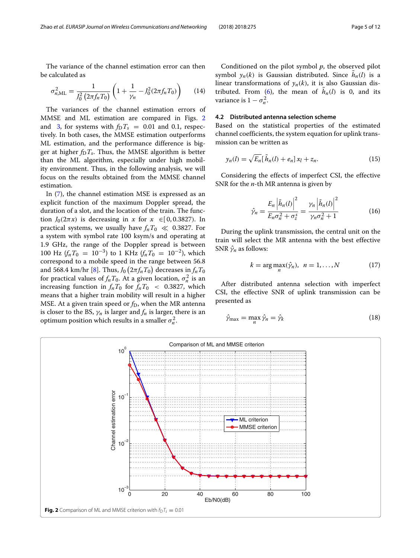The variance of the channel estimation error can then be calculated as

$$
\sigma_{n,\text{ML}}^2 = \frac{1}{J_0^2 \left(2\pi f_n T_0\right)} \left(1 + \frac{1}{\gamma_n} - J_0^2 (2\pi f_n T_0)\right) \tag{14}
$$

The variances of the channel estimation errors of MMSE and ML estimation are compared in Figs. [2](#page-4-0) and [3,](#page-5-1) for systems with  $f_D T_s = 0.01$  and 0.1, respectively. In both cases, the MMSE estimation outperforms ML estimation, and the performance difference is bigger at higher  $f_D T_s$ . Thus, the MMSE algorithm is better than the ML algorithm, especially under high mobility environment. Thus, in the following analysis, we will focus on the results obtained from the MMSE channel estimation.

In  $(7)$ , the channel estimation MSE is expressed as an explicit function of the maximum Doppler spread, the duration of a slot, and the location of the train. The function  $J_0(2\pi x)$  is decreasing in *x* for  $x \in [0, 0.3827)$ . In practical systems, we usually have  $f_nT_0 \ll 0.3827$ . For a system with symbol rate 100 ksym/s and operating at 1.9 GHz, the range of the Doppler spread is between 100 Hz  $(f_nT_0 = 10^{-3})$  to 1 KHz  $(f_nT_0 = 10^{-2})$ , which correspond to a mobile speed in the range between 56.8 and 568.4 km/hr [\[8\]](#page-10-5). Thus,  $J_0\left(2\pi f_nT_0\right)$  decreases in  $f_nT_0$ for practical values of  $f_n T_0$ . At a given location,  $\sigma_n^2$  is an increasing function in  $f_nT_0$  for  $f_nT_0$  < 0.3827, which means that a higher train mobility will result in a higher MSE. At a given train speed or *f*<sub>D</sub>, when the MR antenna is closer to the BS,  $\gamma_n$  is larger and  $f_n$  is larger, there is an optimum position which results in a smaller  $\sigma_n^2$ .

Conditioned on the pilot symbol *p*, the observed pilot symbol  $y_n(k)$  is Gaussian distributed. Since  $h_n(l)$  is a linear transformations of  $y_n(k)$ , it is also Gaussian dis-tributed. From [\(6\)](#page-3-5), the mean of  $h_n(l)$  is 0, and its variance is  $1 - \sigma_n^2$ .

### **4.2 Distributed antenna selection scheme**

Based on the statistical properties of the estimated channel coefficients, the system equation for uplink transmission can be written as

$$
y_n(l) = \sqrt{E_n} [\tilde{h}_n(l) + e_n] x_l + z_n.
$$
 (15)

Considering the effects of imperfect CSI, the effective SNR for the *n*-th MR antenna is given by

<span id="page-4-1"></span>
$$
\hat{\gamma}_n = \frac{E_n \left| \tilde{h}_n(l) \right|^2}{E_n \sigma_n^2 + \sigma_z^s} = \frac{\gamma_n \left| \tilde{h}_n(l) \right|^2}{\gamma_n \sigma_n^2 + 1}
$$
\n(16)

During the uplink transmission, the central unit on the train will select the MR antenna with the best effective SNR  $\hat{\gamma}_n$  as follows:

$$
k = \arg \max_{n} (\hat{\gamma}_n), \ \ n = 1, \dots, N \tag{17}
$$

After distributed antenna selection with imperfect CSI, the effective SNR of uplink transmission can be presented as

$$
\hat{\gamma}_{\max} = \max_{n} \hat{\gamma}_n = \hat{\gamma}_k \tag{18}
$$

<span id="page-4-0"></span>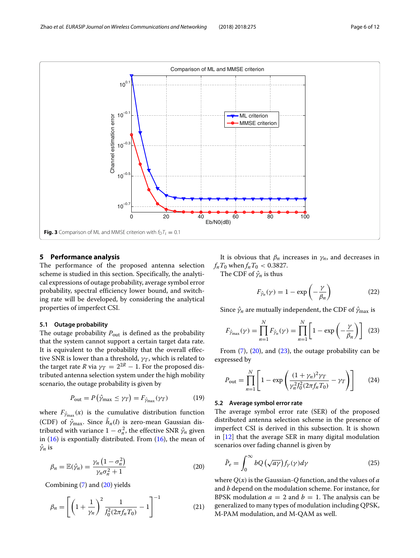

# <span id="page-5-1"></span><span id="page-5-0"></span>**5 Performance analysis**

The performance of the proposed antenna selection scheme is studied in this section. Specifically, the analytical expressions of outage probability, average symbol error probability, spectral efficiency lower bound, and switching rate will be developed, by considering the analytical properties of imperfect CSI.

### **5.1 Outage probability**

The outage probability  $P_{\text{out}}$  is defined as the probability that the system cannot support a certain target data rate. It is equivalent to the probability that the overall effective SNR is lower than a threshold,  $\gamma_T$ , which is related to the target rate *R* via  $\gamma_T = 2^{2R} - 1$ . For the proposed distributed antenna selection system under the high mobility scenario, the outage probability is given by

$$
P_{\text{out}} = P\left(\hat{\gamma}_{\text{max}} \le \gamma_T\right) = F_{\hat{\gamma}_{\text{max}}}(\gamma_T) \tag{19}
$$

where  $F_{\hat{\gamma}_{\text{max}}}(x)$  is the cumulative distribution function (CDF) of  $\hat{\gamma}_{\text{max}}$ . Since  $h_n(l)$  is zero-mean Gaussian distributed with variance  $1 - \sigma_n^2$ , the effective SNR  $\hat{\gamma}_n$  given in  $(16)$  is expontially distributed. From  $(16)$ , the mean of  $\hat{\gamma}_n$  is

$$
\beta_n = \mathbb{E}(\hat{\gamma}_n) = \frac{\gamma_n \left(1 - \sigma_n^2\right)}{\gamma_n \sigma_n^2 + 1} \tag{20}
$$

Combining [\(7\)](#page-3-4) and [\(20\)](#page-5-2) yields

$$
\beta_n = \left[ \left( 1 + \frac{1}{\gamma_n} \right)^2 \frac{1}{J_0^2 (2\pi f_n T_0)} - 1 \right]^{-1} \tag{21}
$$

It is obvious that  $\beta_n$  increases in  $\gamma_n$ , and decreases in  $f_nT_0$  when  $f_nT_0 < 0.3827$ .

The CDF of  $\hat{\gamma}_n$  is thus

$$
F_{\hat{\gamma}_n}(\gamma) = 1 - \exp\left(-\frac{\gamma}{\beta_n}\right) \tag{22}
$$

Since  $\hat{\gamma}_n$  are mutually independent, the CDF of  $\hat{\gamma}_{\text{max}}$  is

<span id="page-5-3"></span>
$$
F_{\hat{\gamma}_{\text{max}}}(\gamma) = \prod_{n=1}^{N} F_{\hat{\gamma}_n}(\gamma) = \prod_{n=1}^{N} \left[ 1 - \exp\left( -\frac{\gamma}{\beta_n} \right) \right] \tag{23}
$$

From  $(7)$ ,  $(20)$ , and  $(23)$ , the outage probability can be expressed by

$$
P_{\text{out}} = \prod_{n=1}^{N} \left[ 1 - \exp\left( \frac{(1 + \gamma_n)^2 \gamma_T}{\gamma_n^2 J_0^2 (2\pi f_n T_0)} - \gamma_T \right) \right]
$$
(24)

### **5.2 Average symbol error rate**

The average symbol error rate (SER) of the proposed distributed antenna selection scheme in the presence of imperfect CSI is derived in this subsection. It is shown in [\[12\]](#page-11-1) that the average SER in many digital modulation scenarios over fading channel is given by

<span id="page-5-4"></span>
$$
\bar{P}_e = \int_0^\infty bQ\left(\sqrt{a\gamma}\right) f_\gamma(\gamma) d\gamma \tag{25}
$$

<span id="page-5-2"></span>where  $Q(x)$  is the Gaussian- $Q$  function, and the values of  $a$ and *b* depend on the modulation scheme. For instance, for BPSK modulation  $a = 2$  and  $b = 1$ . The analysis can be generalized to many types of modulation including QPSK, M-PAM modulation, and M-QAM as well.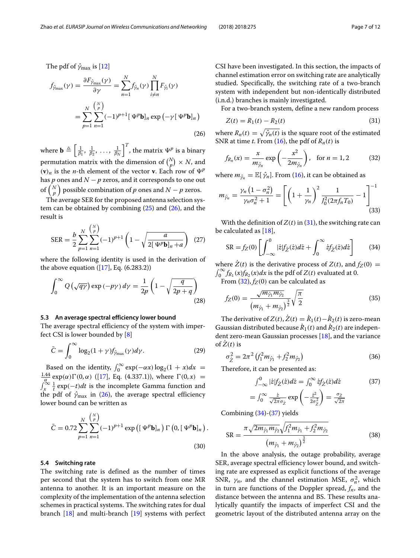The pdf of  $\hat{\gamma}_{\text{max}}$  is [\[12\]](#page-11-1)

$$
f_{\hat{\gamma}_{\max}}(\gamma) = \frac{\partial F_{\hat{\gamma}_{\max}}(\gamma)}{\partial \gamma} = \sum_{n=1}^{N} f_{\hat{\gamma}_n}(\gamma) \prod_{i \neq n}^{N} F_{\hat{\gamma}_i}(\gamma)
$$

$$
= \sum_{p=1}^{N} \sum_{n=1}^{N} (-1)^{p+1} [\Psi^p \mathbf{b}]_n \exp(-\gamma [\Psi^p \mathbf{b}]_n)
$$
(26)

where  $\mathbf{b} \triangleq \left[\frac{1}{\beta_1}, \frac{1}{\beta_2}, \dots, \frac{1}{\beta_N}\right]^T$ , the matrix  $\Psi^p$  is a binary permutation matrix with the dimension of  $\binom{N}{p} \times N$ , and  $(v)_n$  is the *n*-th element of the vector **v**. Each row of  $\Psi^p$ has *p* ones and  $N - p$  zeros, and it corresponds to one out of  $\binom{N}{p}$  possible combination of  $p$  ones and  $N-p$  zeros.

The average SER for the proposed antenna selection system can be obtained by combining  $(25)$  and  $(26)$ , and the result is

$$
SER = \frac{b}{2} \sum_{p=1}^{N} \sum_{n=1}^{N} (-1)^{p+1} \left( 1 - \sqrt{\frac{a}{2[\Psi^p \mathbf{b}]_n + a}} \right) (27)
$$

where the following identity is used in the derivation of the above equation  $([17], Eq. (6.283.2))$  $([17], Eq. (6.283.2))$  $([17], Eq. (6.283.2))$ 

$$
\int_0^\infty Q\left(\sqrt{q\gamma}\right) \exp\left(-p\gamma\right) d\gamma = \frac{1}{2p} \left(1 - \sqrt{\frac{q}{2p+q}}\right)
$$
\n(28)

#### **5.3 An average spectral efficiency lower bound**

The average spectral efficiency of the system with imperfect CSI is lower bounded by [\[8\]](#page-10-5)

$$
\bar{C} = \int_0^\infty \log_2(1+\gamma)f_{\hat{y}_{\text{max}}}(\gamma)d\gamma.
$$
 (29)

Based on the identity,  $\int_0^\infty \exp(-\alpha x) \log_2(1 + x) dx =$ <br> $\frac{1.44}{2.42} \exp(\alpha) \Gamma(0, \alpha)$  (117) Eq. (4.337.1)) where  $\Gamma(0, x)$  $\int_{\alpha}^{\frac{1.44}{\alpha}} \exp(\alpha) \Gamma(0, \alpha)$  ([\[17\]](#page-11-5), Eq. (4.337.1)), where  $\Gamma(0, x) =$ <br> $\int_{x}^{\infty} \frac{1}{t} \exp(-t) dt$  is the incomplete Gamma function and the pdf of  $\hat{\gamma}_{\text{max}}$  in [\(26\)](#page-6-0), the average spectral efficiency lower bound can be written as

$$
\bar{C} = 0.72 \sum_{p=1}^{N} \sum_{n=1}^{N} (-1)^{p+1} \exp \left( [\Psi^{p} \mathbf{b}]_{n} \right) \Gamma \left( 0, [\Psi^{p} \mathbf{b}]_{n} \right)
$$
\n(30)

### **5.4 Switching rate**

The switching rate is defined as the number of times per second that the system has to switch from one MR antenna to another. It is an important measure on the complexity of the implementation of the antenna selection schemes in practical systems. The switching rates for dual branch [\[18\]](#page-11-6) and multi-branch [\[19\]](#page-11-7) systems with perfect CSI have been investigated. In this section, the impacts of channel estimation error on switching rate are analytically studied. Specifically, the switching rate of a two-branch system with independent but non-identically distributed (i.n.d.) branches is mainly investigated.

For a two-branch system, define a new random process

<span id="page-6-1"></span>
$$
Z(t) = R_1(t) - R_2(t)
$$
\n(31)

<span id="page-6-0"></span>where  $R_n(t) = \sqrt{\hat{\gamma}_n(t)}$  is the square root of the estimated SNR at time *t*. From [\(16\)](#page-4-1), the pdf of  $R_n(t)$  is

<span id="page-6-2"></span>
$$
f_{R_n}(x) = \frac{x}{m_{\hat{\gamma}_n}} \exp\left(-\frac{x^2}{2m_{\hat{\gamma}_n}}\right), \quad \text{for } n = 1, 2 \tag{32}
$$

where  $m_{\hat{\gamma}_n} = \mathbb{E}[\hat{\gamma}_n]$ . From [\(16\)](#page-4-1), it can be obtained as

$$
m_{\hat{\gamma}_n} = \frac{\gamma_n \left(1 - \sigma_n^2\right)}{\gamma_n \sigma_n^2 + 1} = \left[ \left(1 + \frac{1}{\gamma_n}\right)^2 \frac{1}{J_0^2 (2\pi f_n T_0)} - 1 \right]^{-1} \tag{33}
$$

With the definition of  $Z(t)$  in [\(31\)](#page-6-1), the switching rate can be calculated as [\[18\]](#page-11-6),

<span id="page-6-3"></span>
$$
SR = f_Z(0) \left[ \int_{-\infty}^0 |\dot{z}| f_{\dot{Z}}(\dot{z}) d\dot{z} + \int_0^\infty \dot{z} f_{\dot{Z}}(\dot{z}) d\dot{z} \right] \tag{34}
$$

where  $\dot{Z}(t)$  is the derivative process of  $Z(t)$ , and  $f_Z(0)$  =  $\int_0^\infty f_{R_1}(x) f_{R_2}(x) dx$  is the pdf of  $Z(t)$  evaluated at 0.

From  $(32)$ ,  $f_Z(0)$  can be calculated as

$$
f_Z(0) = \frac{\sqrt{m_{\hat{\gamma}_1} m_{\hat{\gamma}_2}}}{\left(m_{\hat{\gamma}_1} + m_{\hat{\gamma}_2}\right)^{\frac{3}{2}}} \sqrt{\frac{\pi}{2}}
$$
(35)

The derivative of  $Z(t)$ ,  $\dot{Z}(t) = \dot{R}_1(t) - \dot{R}_2(t)$  is zero-mean Gaussian distributed because  $\dot{R}_1(t)$  and  $\dot{R}_2(t)$  are independent zero-mean Gaussian processes [\[18\]](#page-11-6), and the variance of  $\dot{Z}(t)$  is

$$
\sigma_{\tilde{Z}}^2 = 2\pi^2 \left( f_1^2 m_{\hat{\gamma}_1} + f_2^2 m_{\hat{\gamma}_2} \right)
$$
 (36)

Therefore, it can be presented as:

<span id="page-6-4"></span>
$$
\int_{-\infty}^{0} |\dot{z}| f_{\dot{Z}}(\dot{z}) d\dot{z} = \int_{0}^{\infty} \dot{z} f_{\dot{Z}}(\dot{z}) d\dot{z}
$$
(37)  

$$
= \int_{0}^{\infty} \frac{\dot{z}}{\sqrt{2\pi}\sigma_{\dot{z}}} \exp\left(-\frac{\dot{z}^{2}}{2\sigma_{\dot{Z}}^{2}}\right) = \frac{\sigma_{\dot{Z}}}{\sqrt{2\pi}}
$$

Combining [\(34\)](#page-6-3)-[\(37\)](#page-6-4) yields

.

SR = 
$$
\frac{\pi \sqrt{2m_{\hat{\gamma}_1}m_{\hat{\gamma}_2}} \sqrt{f_1^2 m_{\hat{\gamma}_1} + f_2^2 m_{\hat{\gamma}_2}}}{(m_{\hat{\gamma}_1} + m_{\hat{\gamma}_2})^{\frac{3}{2}}}
$$
(38)

In the above analysis, the outage probability, average SER, average spectral efficiency lower bound, and switching rate are expressed as explicit functions of the average SNR,  $\gamma_n$ , and the channel estimation MSE,  $\sigma_n^2$ , which in turn are functions of the Doppler spread,  $f_n$ , and the distance between the antenna and BS. These results analytically quantify the impacts of imperfect CSI and the geometric layout of the distributed antenna array on the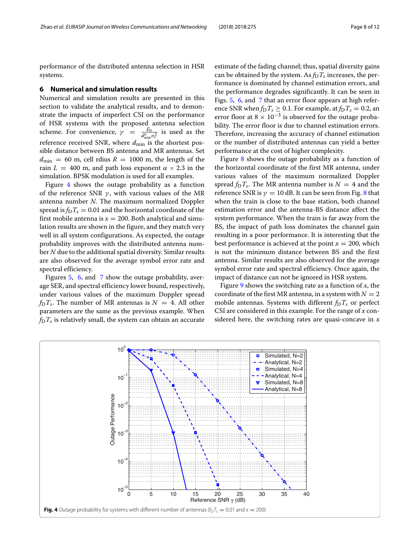performance of the distributed antenna selection in HSR systems.

### <span id="page-7-0"></span>**6 Numerical and simulation results**

Numerical and simulation results are presented in this section to validate the analytical results, and to demonstrate the impacts of imperfect CSI on the performance of HSR systems with the proposed antenna selection scheme. For convenience,  $\gamma = \frac{E_0}{d_{\min}^{\alpha} \sigma_z^2}$  is used as the reference received SNR, where  $d_{\text{min}}$  is the shortest possible distance between BS antenna and MR antennas. Set  $d_{\text{min}}$  = 60 m, cell rdius  $R = 1000$  m, the length of the rain  $L = 400$  m, and path loss exponent  $\alpha = 2.3$  in the simulation. BPSK modulation is used for all examples.

Figure [4](#page-7-1) shows the outage probability as a function of the reference SNR  $\gamma$ , with various values of the MR antenna number *N*. The maximum normalized Doppler spread is  $f_D T_s = 0.01$  and the horizontal coordinate of the first mobile antenna is  $x = 200$ . Both analytical and simulation results are shown in the figure, and they match very well in all system configurations. As expected, the outage probability improves with the distributed antenna number *N* due to the additional spatial diversity. Similar results are also observed for the average symbol error rate and spectral efficiency.

Figures [5,](#page-8-1) [6,](#page-8-2) and [7](#page-9-0) show the outage probability, average SER, and spectral efficiency lower bound, respectively, under various values of the maximum Doppler spread  $f<sub>D</sub>T<sub>s</sub>$ . The number of MR antennas is  $N = 4$ . All other parameters are the same as the previous example. When  $f<sub>D</sub>T<sub>s</sub>$  is relatively small, the system can obtain an accurate estimate of the fading channel; thus, spatial diversity gains can be obtained by the system. As  $f_D T_s$  increases, the performance is dominated by channel estimation errors, and the performance degrades significantly. It can be seen in Figs. [5,](#page-8-1) [6,](#page-8-2) and [7](#page-9-0) that an error floor appears at high reference SNR when  $f_D T_s \geq 0.1$ . For example, at  $f_D T_s = 0.2$ , an error floor at  $8 \times 10^{-3}$  is observed for the outage probability. The error floor is due to channel estimation errors. Therefore, increasing the accuracy of channel estimation or the number of distributed antennas can yield a better performance at the cost of higher complexity.

Figure [8](#page-9-1) shows the outage probability as a function of the horizontal coordinate of the first MR antenna, under various values of the maximum normalized Doppler spread  $f_D T_s$ . The MR antenna number is  $N = 4$  and the reference SNR is  $\gamma = 10$  dB. It can be seen from Fig. [8](#page-9-1) that when the train is close to the base station, both channel estimation error and the antenna-BS distance affect the system performance. When the train is far away from the BS, the impact of path loss dominates the channel gain resulting in a poor performance. It is interesting that the best performance is achieved at the point  $x = 200$ , which is not the minimum distance between BS and the first antenna. Similar results are also observed for the average symbol error rate and spectral efficiency. Once again, the impact of distance can not be ignored in HSR system.

Figure [9](#page-10-8) shows the switching rate as a function of *x*, the coordinate of the first MR antenna, in a system with  $N = 2$ mobile antennas. Systems with different  $f_D T_s$  or perfect CSI are considered in this example. For the range of *x* considered here, the switching rates are quasi-concave in *x*

<span id="page-7-1"></span>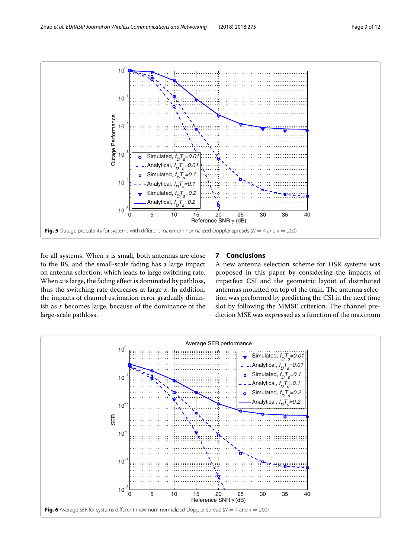

<span id="page-8-1"></span>for all systems. When *x* is small, both antennas are close to the BS, and the small-scale fading has a large impact on antenna selection, which leads to large switching rate. When *x* is large, the fading effect is dominated by pathloss, thus the switching rate decreases at large *x*. In addition, the impacts of channel estimation error gradually diminish as *x* becomes large, because of the dominance of the large-scale pathloss.

# <span id="page-8-0"></span>**7 Conclusions**

A new antenna selection scheme for HSR systems was proposed in this paper by considering the impacts of imperfect CSI and the geometric layout of distributed antennas mounted on top of the train. The antenna selection was performed by predicting the CSI in the next time slot by following the MMSE criterion. The channel prediction MSE was expressed as a function of the maximum

<span id="page-8-2"></span>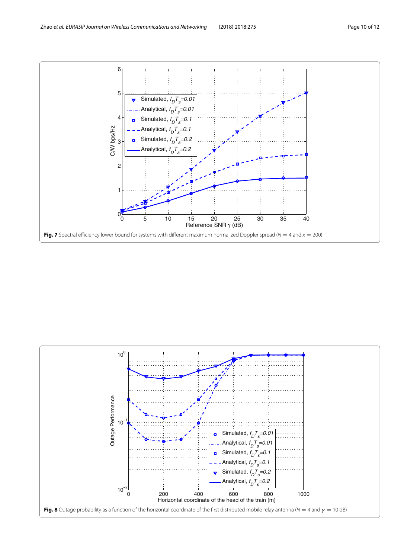

<span id="page-9-1"></span><span id="page-9-0"></span>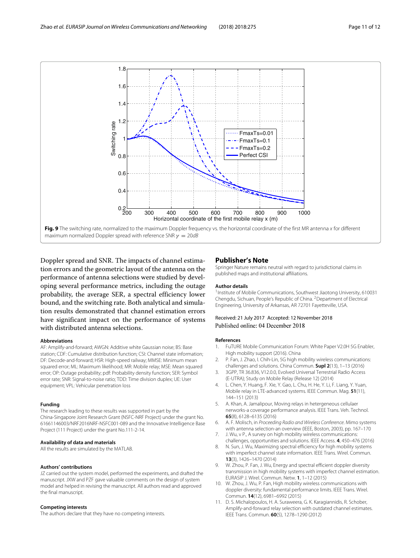

<span id="page-10-8"></span>Doppler spread and SNR. The impacts of channel estimation errors and the geometric layout of the antenna on the performance of antenna selections were studied by developing several performance metrics, including the outage probability, the average SER, a spectral efficiency lower bound, and the switching rate. Both analytical and simulation results demonstrated that channel estimation errors have significant impact on the performance of systems with distributed antenna selections.

#### **Abbreviations**

AF: Amplify-and-forward; AWGN: Additive white Gaussian noise; BS: Base station; CDF: Cumulative distribution function; CSI: Channel state information; DF: Decode-and-forward; HSR: High-speed railway; MMSE: Minimum mean squared error; ML: Maximum likelihood; MR: Mobile relay; MSE: Mean squared error; OP: Outage probability; pdf: Probability density function; SER: Symbol error rate; SNR: Signal-to-noise ratio; TDD: Time division duplex; UE: User equipment; VPL: Vehicular penetration loss

#### **Funding**

The research leading to these results was supported in part by the China-Singapore Joint Research Grant (NSFC-NRF Project) under the grant No. 61661146003/NRF2016NRF-NSFC001-089 and the Innovative Intelligence Base Project (111 Project) under the grant No.111-2-14.

#### **Availability of data and materials**

All the results are simulated by the MATI AB.

#### **Authors' contributions**

JZ carried out the system model, performed the experiments, and drafted the manuscript. JXW and PZF gave valuable comments on the design of system model and helped in revising the manuscript. All authors read and approved the final manuscript.

#### **Competing interests**

The authors declare that they have no competing interests.

## **Publisher's Note**

Springer Nature remains neutral with regard to jurisdictional claims in published maps and institutional affiliations.

#### **Author details**

<sup>1</sup> Institute of Mobile Communications, Southwest Jiaotong University, 610031 Chengdu, Sichuan, People's Republic of China. <sup>2</sup> Department of Electrical Engineering, University of Arkansas, AR 72701 Fayetteville, USA.

### Received: 21 July 2017 Accepted: 12 November 2018 Published online: 04 December 2018

#### **References**

- <span id="page-10-0"></span>1. FuTURE Mobile Communication Forum: White Paper V2.0H 5G Enabler, High mobility support (2016). China
- <span id="page-10-1"></span>2. P. Fan, J. Zhao, I. Chih-Lin, 5G high mobility wireless communications: challenges and solutions. China Commun. **Supl 2**(13), 1–13 (2016)
- 3. 3GPP, TR 36.836, V12.0.0, Evolved Universal Terrestrial Radio Access (E-UTRA); Study on Mobile Relay (Release 12) (2014)
- L. Chen, Y. Huang, F. Xie, Y. Gao, L. Chu, H. He, Y. Li, F. Liang, Y. Yuan, Mobile relay in LTE-advanced systems. IEEE Commun. Mag. **51**(11), 144–151 (2013)
- <span id="page-10-2"></span>5. A. Khan, A. Jamalipour, Moving relays in hetergeneous cellulaer nerworks-a coverage performance analysis. IEEE Trans. Veh. Technol. **65**(8), 6128–6135 (2016)
- <span id="page-10-3"></span>6. A. F. Molisch, in Proceeding Radio and Wireless Conference. Mimo systems with antenna selection-an overview (IEEE, Boston, 2003), pp. 167–170
- <span id="page-10-4"></span>7. J. Wu, v P., A survey on high mobility wireless communications: challenges, opportunities and solutions. IEEE Access. **4**, 450–476 (2016)
- <span id="page-10-5"></span>8. N. Sun, J. Wu, Maximizing spectral efficiency for high mobility systems with imperfect channel state information. IEEE Trans. Wirel. Commun. **13**(3), 1426–1470 (2014)
- 9. W. Zhou, P. Fan, J. Wu, Energy and spectral efficient doppler diversity transmission in high mobility systems with imperfect channel estimation. EURASIP J. Wirel. Commun. Netw. **1**, 1–12 (2015)
- <span id="page-10-6"></span>10. W. Zhou, J. Wu, P. Fan, High mobility wireless communications with doppler diversity: fundamental performance limits. IEEE Trans. Wirel. Commun. **14**(12), 6981–6992 (2015)
- <span id="page-10-7"></span>11. D. S. Michalopoulos, H. A. Suraweera, G. K. Karagiannidis, R. Schober, Amplify-and-forward relay selection with outdated channel estimates. IEEE Trans. Commun. **60**(5), 1278–1290 (2012)